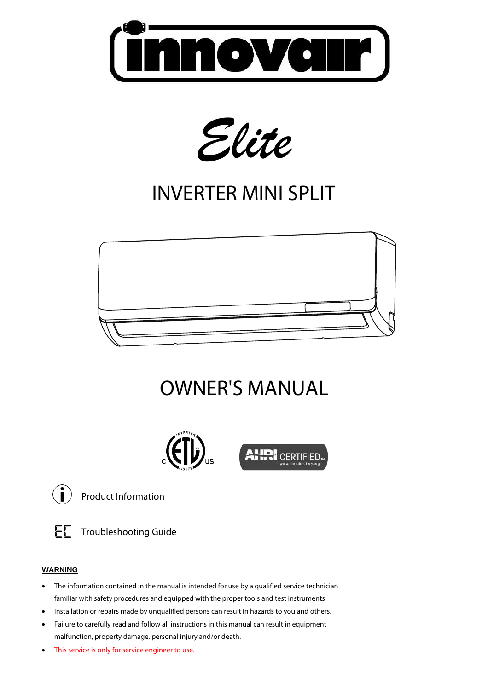



# INVERTER MINI SPLIT



# OWNER'S MANUAL





Product Information

Troubleshooting Guide

#### **WARNING**

- The information contained in the manual is intended for use by a qualified service technician familiar with safety procedures and equipped with the proper tools and test instruments
- Installation or repairs made by unqualified persons can result in hazards to you and others.
- Failure to carefully read and follow all instructions in this manual can result in equipment malfunction, property damage, personal injury and/or death.
- This service is only for service engineer to use.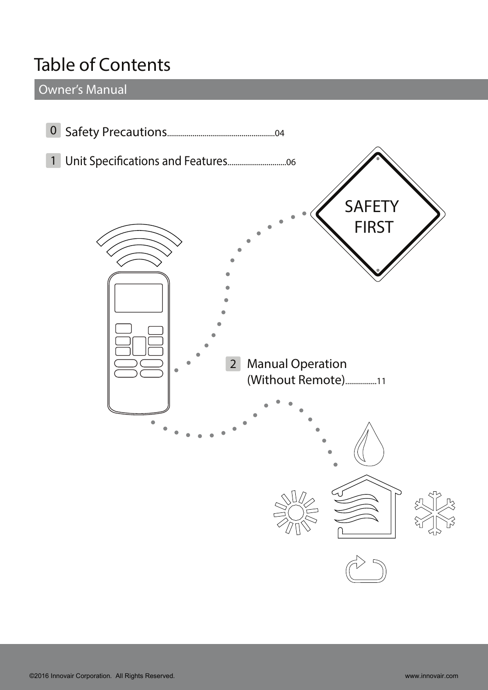## **Table of Contents**

**Owner's Manual**

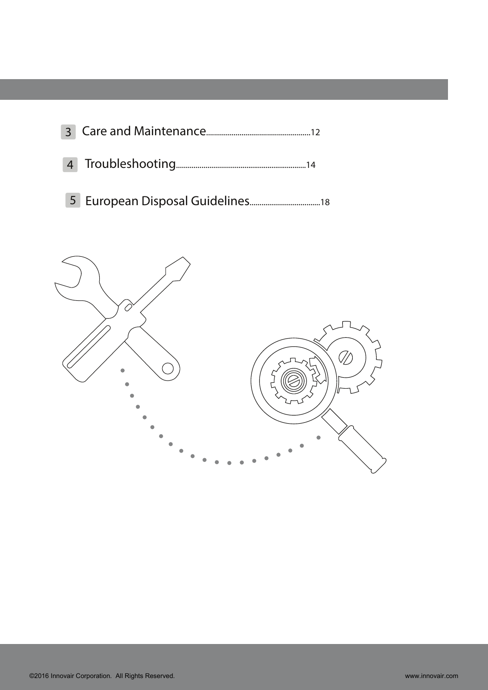

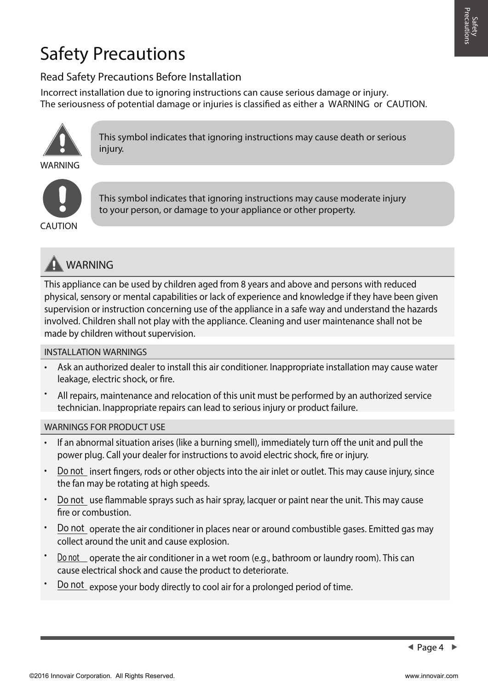# **Safety Precautions**

### **Read Safety Precautions Before Installation**

The seriousness of potential damage or injuries is classified as either a **WARNING** or **CAUTION**. **Incorrect installation due to ignoring instructions can cause serious damage or injury.**



**This symbol indicates that ignoring instructions may cause death or serious injury.**



**This symbol indicates that ignoring instructions may cause moderate injury to your person, or damage to your appliance or other property.**



This appliance can be used by children aged from 8 years and above and persons with reduced physical, sensory or mental capabilities or lack of experience and knowledge if they have been given supervision or instruction concerning use of the appliance in a safe way and understand the hazards involved. Children shall not play with the appliance. Cleaning and user maintenance shall not be made by children without supervision.

#### **INSTALLATION WARNINGS**

- Ask an authorized dealer to install this air conditioner. Inappropriate installation may cause water leakage, electric shock, or fire.
- All repairs, maintenance and relocation of this unit must be performed by an authorized service technician. Inappropriate repairs can lead to serious injury or product failure.

#### **WARNINGS FOR PRODUCT USE**

- If an abnormal situation arises (like a burning smell), immediately turn off the unit and pull the power plug. Call your dealer for instructions to avoid electric shock, fire or injury.
- **Do not** insert fingers, rods or other objects into the air inlet or outlet. This may cause injury, since the fan may be rotating at high speeds.
- **Do not** use flammable sprays such as hair spray, lacquer or paint near the unit. This may cause fire or combustion.
- **Do not** operate the air conditioner in places near or around combustible gases. Emitted gas may collect around the unit and cause explosion.
- **Do not** operate the air conditioner in a wet room (e.g., bathroom or laundry room). This can cause electrical shock and cause the product to deteriorate.
- **Do not** expose your body directly to cool air for a prolonged period of time.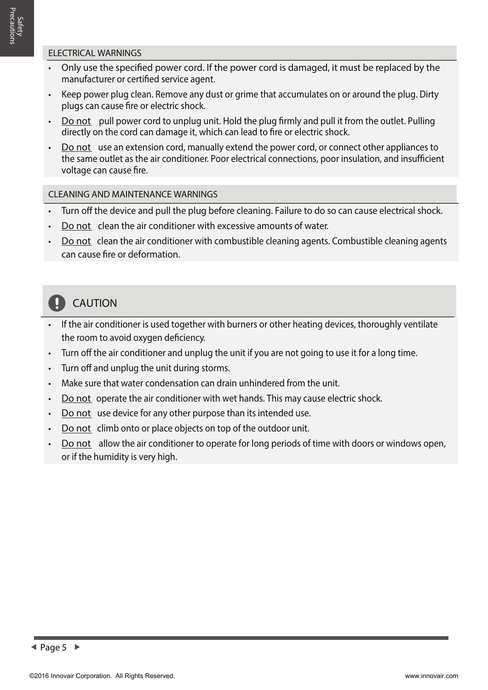- Only use the specified power cord. If the power cord is damaged, it must be replaced by the manufacturer or certified service agent.
- Keep power plug clean. Remove any dust or grime that accumulates on or around the plug. Dirty plugs can cause fire or electric shock.
- **Do not** pull power cord to unplug unit. Hold the plug firmly and pull it from the outlet. Pulling directly on the cord can damage it, which can lead to fire or electric shock.
- **Do not** use an extension cord, manually extend the power cord, or connect other appliances to the same outlet as the air conditioner. Poor electrical connections, poor insulation, and insufficient voltage can cause fire.

#### **CLEANING AND MAINTENANCE WARNINGS**

- Turn off the device and pull the plug before cleaning. Failure to do so can cause electrical shock.
- **Do not** clean the air conditioner with excessive amounts of water.
- **Do not** clean the air conditioner with combustible cleaning agents. Combustible cleaning agents can cause fire or deformation.

#### $\mathbf{I}$  **CAUTION**

- If the air conditioner is used together with burners or other heating devices, thoroughly ventilate the room to avoid oxygen deficiency.
- $\cdot$  Turn off the air conditioner and unplug the unit if you are not going to use it for a long time.
- Turn off and unplug the unit during storms.
- Make sure that water condensation can drain unhindered from the unit.
- **Do not** operate the air conditioner with wet hands. This may cause electric shock.
- **Do not** use device for any other purpose than its intended use.
- **Do not** climb onto or place objects on top of the outdoor unit.
- **Do not** allow the air conditioner to operate for long periods of time with doors or windows open, or if the humidity is very high.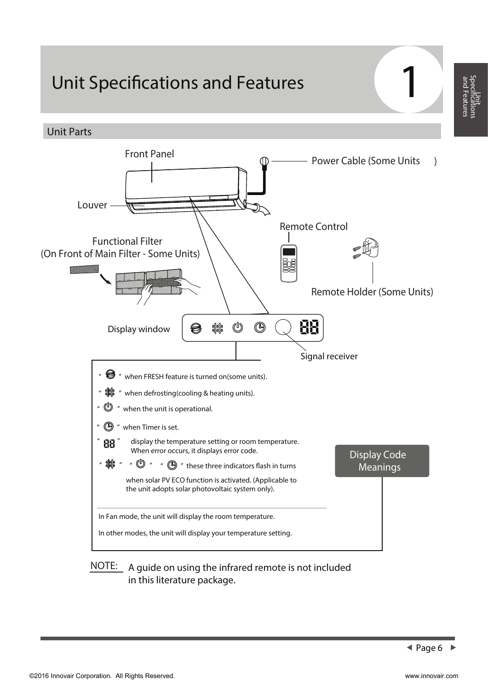## **Unit Specifications and Features**

**Unit Parts**



#### NOTE: A guide on using the infrared remote is not included in this literature package.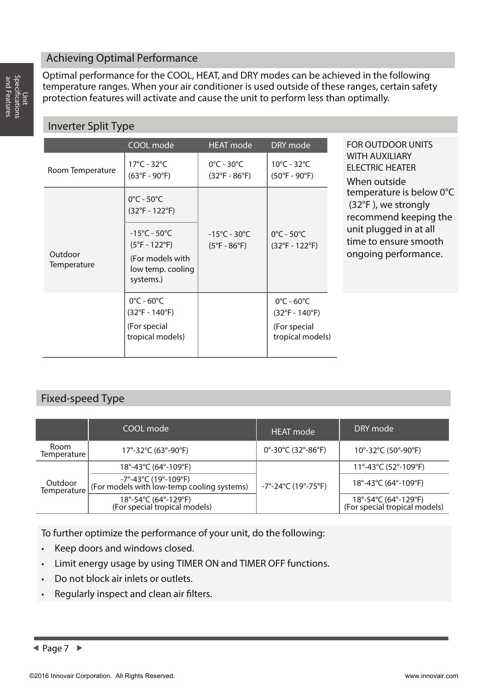#### **Achieving Optimal Performance**

Optimal performance for the COOL, HEAT, and DRY modes can be achieved in the following temperature ranges. When your air conditioner is used outside of these ranges, certain safety protection features will activate and cause the unit to perform less than optimally.

### **Inverter Split Type**

|                        | COOL mode                                                          | <b>HEAT mode</b>                                                  | DRY mode                                                          | <b>FOR OUTDOOR UNITS</b>                                                                                                              |
|------------------------|--------------------------------------------------------------------|-------------------------------------------------------------------|-------------------------------------------------------------------|---------------------------------------------------------------------------------------------------------------------------------------|
| Room Temperature       | $17^{\circ}$ C - 32 $^{\circ}$ C<br>$(63^{\circ}F - 90^{\circ}F)$  | $0^{\circ}$ C - 30 $^{\circ}$ C<br>$(32^{\circ}F - 86^{\circ}F)$  | $10^{\circ}$ C - 32 $^{\circ}$ C<br>$(50^{\circ}F - 90^{\circ}F)$ | <b>WITH AUXILIARY</b><br><b>ELECTRIC HEATER</b><br>When outside                                                                       |
|                        | $0^{\circ}$ C - 50 $^{\circ}$ C<br>$(32^{\circ}F - 122^{\circ}F)$  |                                                                   |                                                                   | temperature is below 0°C<br>$(32^{\circ}F)$ , we strongly<br>recommend keeping the<br>unit plugged in at all<br>time to ensure smooth |
| Outdoor<br>Temperature | $-15^{\circ}$ C - 50 $^{\circ}$ C<br>$(5^{\circ}F - 122^{\circ}F)$ | $-15^{\circ}$ C - 30 $^{\circ}$ C<br>$(5^{\circ}F - 86^{\circ}F)$ | $0^{\circ}$ C - 50 $^{\circ}$ C<br>$(32^{\circ}F - 122^{\circ}F)$ |                                                                                                                                       |
|                        | (For models with<br>low temp. cooling<br>systems.)                 |                                                                   |                                                                   | ongoing performance.                                                                                                                  |
|                        | $0^{\circ}$ C - 60 $^{\circ}$ C<br>$(32^{\circ}F - 140^{\circ}F)$  |                                                                   | $0^{\circ}$ C - 60 $^{\circ}$ C<br>$(32^{\circ}F - 140^{\circ}F)$ |                                                                                                                                       |
|                        | (For special<br>tropical models)                                   |                                                                   | (For special<br>tropical models)                                  |                                                                                                                                       |

#### **Fixed-speed Type**

|                        | COOL mode                                                                                                           | <b>HEAT</b> mode                                              | DRY mode                                                        |
|------------------------|---------------------------------------------------------------------------------------------------------------------|---------------------------------------------------------------|-----------------------------------------------------------------|
| Room<br>Temperature    | 17°-32°C (63°-90°F)                                                                                                 | $0^{\circ}$ -30 $^{\circ}$ C (32 $^{\circ}$ -86 $^{\circ}$ F) | 10 $^{\circ}$ -32 $^{\circ}$ C (50 $^{\circ}$ -90 $^{\circ}$ F) |
| Outdoor<br>Temperature | $18^{\circ} - 43^{\circ}$ C (64°-109°F)                                                                             |                                                               | 11°-43°C (52°-109°F)                                            |
|                        | │ (For models with low-temp cooling systems)<br>│ (For models with low-temp cooling systems)<br>-7°-24°C (19°-75°F) |                                                               | 18°-43°C (64°-109°F)                                            |
|                        | 18°-54°C (64°-129°F)<br>(For special tropical models)                                                               |                                                               | 18°-54°C (64°-129°F)<br>(For special tropical models)           |

**To further optimize the performance of your unit, do the following:**

- Keep doors and windows closed.
- Limit energy usage by using TIMER ON and TIMER OFF functions.
- Do not block air inlets or outlets.
- Regularly inspect and clean air filters.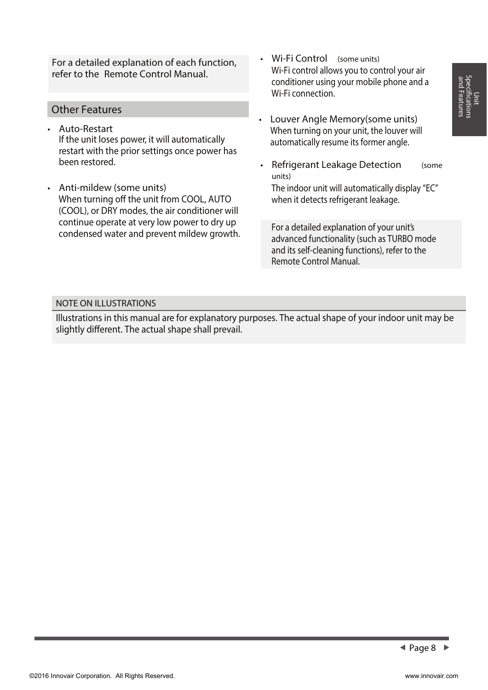For a detailed explanation of each function, refer to the **Remote Control Manual.**

#### **Other Features**

- **Auto-Restart** If the unit loses power, it will automatically restart with the prior settings once power has been restored.
- **Anti-mildew (some units)** When turning off the unit from COOL, AUTO (COOL), or DRY modes, the air conditioner will continue operate at very low power to dry up condensed water and prevent mildew growth.
- **Wi-Fi Control (some units)** Wi-Fi control allows you to control your air conditioner using your mobile phone and a Wi-Fi connection.
- **Louver Angle Memory(some units)** When turning on your unit, the louver will automatically resume its former angle.

when it detects refrigerant leakage.

• **Refrigerant Leakage Detection (some units)** The indoor unit will automatically display "EC"

For a detailed explanation of your unit's advanced functionality (such as TURBO mode and its self-cleaning functions), refer to the **Remote Control Manual.**

#### **NOTE ON ILLUSTRATIONS**

Illustrations in this manual are for explanatory purposes. The actual shape of your indoor unit may be slightly different. The actual shape shall prevail.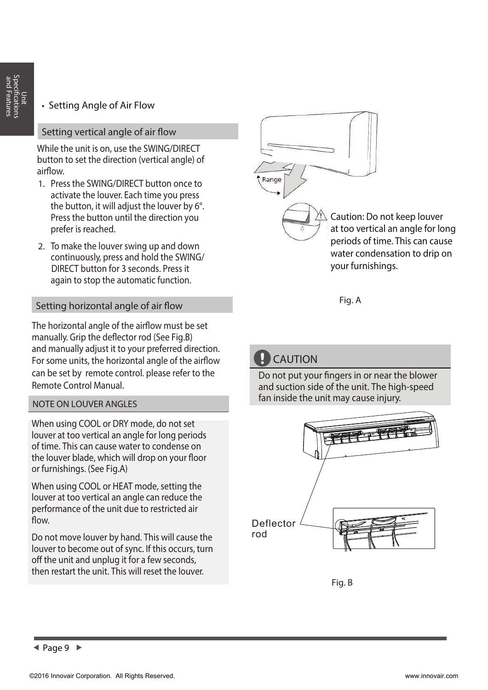#### **Setting Angle of Air Flow** •

#### **Setting vertical angle of air flow**

While the unit is on, use the **SWING/DIRECT**  button to set the direction (vertical angle) of airflow.

- 1. Press the **SWING/DIRECT** button once to activate the louver. Each time you press the button, it will adjust the louver by 6°. Press the button until the direction you prefer is reached.
- 2. To make the louver swing up and down continuously, press and hold the **SWING/ DIRECT** button for 3 seconds. Press it again to stop the automatic function.

#### **Setting horizontal angle of air flow**

The horizontal angle of the airflow must be set manually. Grip the deflector rod (See Fig.B) and manually adjust it to your preferred direction. For some units, the horizontal angle of the airflow can be set by remote control. please refer to the Remote Control Manual.

#### **NOTE ON LOUVER ANGLES**

When using COOL or DRY mode, do not set louver at too vertical an angle for long periods of time. This can cause water to condense on the louver blade, which will drop on your floor or furnishings. (See **Fig.A**)

When using COOL or HEAT mode, setting the louver at too vertical an angle can reduce the performance of the unit due to restricted air flow.

Do not move louver by hand. This will cause the louver to become out of sync. If this occurs, turn off the unit and unplug it for a few seconds, then restart the unit. This will reset the louver.



**Fig. A**

### **D** CAUTION

Do not put your fingers in or near the blower and suction side of the unit. The high-speed fan inside the unit may cause injury.



**Fig. B**

 $\triangleleft$  Page 9  $\triangleright$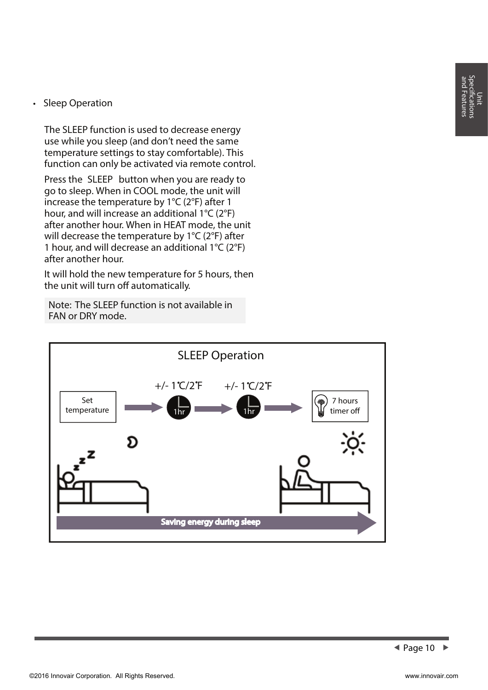#### **Sleep Operation** •

The SLEEP function is used to decrease energy use while you sleep (and don't need the same temperature settings to stay comfortable). This function can only be activated via remote control.

Press the **SLEEP** button when you are ready to go to sleep. When in COOL mode, the unit will increase the temperature by 1°C (2°F) after 1 hour, and will increase an additional 1°C (2°F) after another hour. When in HEAT mode, the unit will decrease the temperature by 1°C (2°F) after 1 hour, and will decrease an additional 1°C (2°F) after another hour.

It will hold the new temperature for 5 hours, then the unit will turn off automatically.

**Note:** The SLEEP function is not available in FAN or DRY mode.

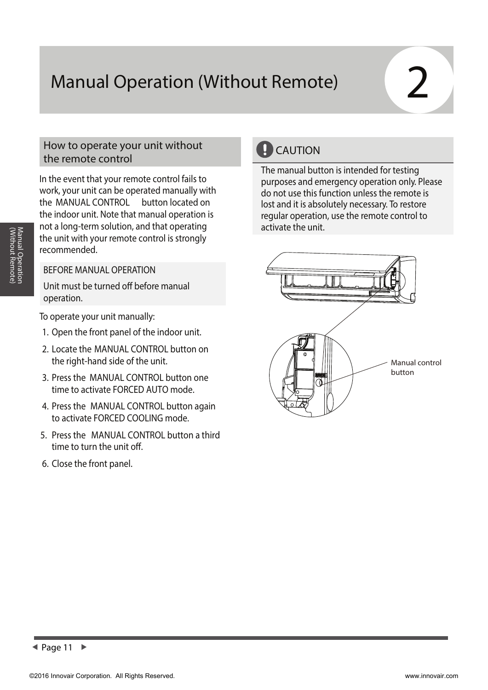# **Manual Operation (Without Remote) 2**

#### **How to operate your unit without the remote control**

In the event that your remote control fails to work, your unit can be operated manually with the **MANUAL CONTROL** button located on the indoor unit. Note that manual operation is not a long-term solution, and that operating the unit with your remote control is strongly recommended.

#### **BEFORE MANUAL OPERATION**

Unit must be turned off before manual operation.

To operate your unit manually:

- 1. Open the front panel of the indoor unit.
- 2. Locate the **MANUAL CONTROL button** on the right-hand side of the unit.
- 3. Press the **MANUAL CONTROL button** one time to activate FORCED AUTO mode.
- 4. Press the **MANUAL CONTROL button** again to activate FORCED COOLING mode.
- 5. Press the **MANUAL CONTROL button** a third time to turn the unit off.
- 6. Close the front panel.

### **CAUTION**

The manual button is intended for testing purposes and emergency operation only. Please do not use this function unless the remote is lost and it is absolutely necessary. To restore regular operation, use the remote control to activate the unit.



 **Page 11**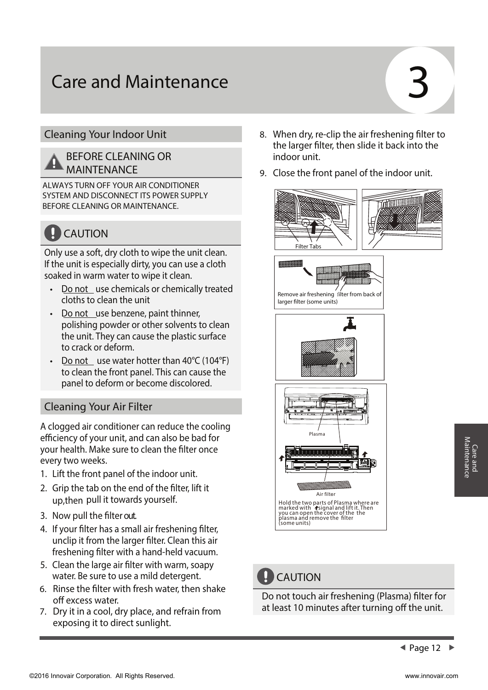# **Care and Maintenance**

#### **Cleaning Your Indoor Unit**

#### **BEFORE CLEANING OR MAINTENANCE**

**ALWAYS TURN OFF YOUR AIR CONDITIONER SYSTEM AND DISCONNECT ITS POWER SUPPLY BEFORE CLEANING OR MAINTENANCE.**

## **CAUTION**

Only use a soft, dry cloth to wipe the unit clean. If the unit is especially dirty, you can use a cloth soaked in warm water to wipe it clean.

- **Do not** use chemicals or chemically treated cloths to clean the unit
- **Do not** use benzene, paint thinner, polishing powder or other solvents to clean the unit. They can cause the plastic surface to crack or deform.
- **Do not** use water hotter than 40°C (104°F) to clean the front panel. This can cause the panel to deform or become discolored.

#### **Cleaning Your Air Filter**

A clogged air conditioner can reduce the cooling efficiency of your unit, and can also be bad for your health. Make sure to clean the filter once every two weeks.

- 1. Lift the front panel of the indoor unit.
- 2. Grip the tab on the end of the filter, lift it up,then pull it towards yourself.
- 3. Now pull the filter out.
- 4. If your filter has a small air freshening filter, unclip it from the larger filter. Clean this air freshening filter with a hand-held vacuum.
- 5. Clean the large air filter with warm, soapy water. Be sure to use a mild detergent.
- 6. Rinse the filter with fresh water, then shake off excess water.
- 7. Dry it in a cool, dry place, and refrain from exposing it to direct sunlight.
- 8. When dry, re-clip the air freshening filter to the larger filter, then slide it back into the indoor unit.
- 9. Close the front panel of the indoor unit.





Remove air freshening filter from back of larger filter (some units)





### **CAUTION**

Do not touch air freshening (Plasma) filter for at least 10 minutes after turning off the unit.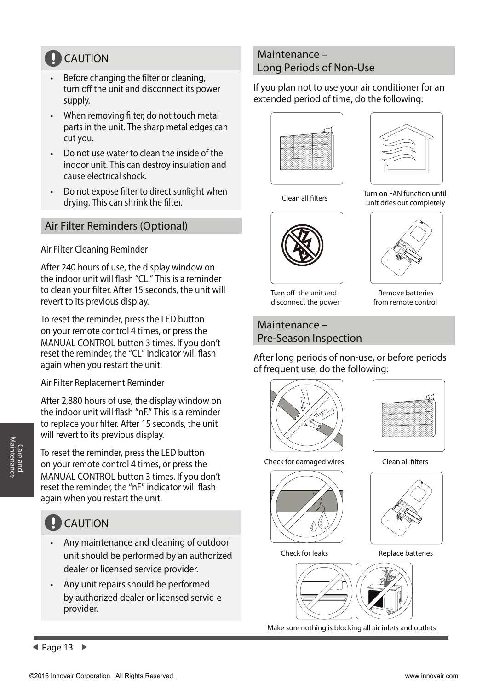### **CAUTION**

- Before changing the filter or cleaning, turn off the unit and disconnect its power supply.
- When removing filter, do not touch metal parts in the unit. The sharp metal edges can cut you.
- Do not use water to clean the inside of the indoor unit. This can destroy insulation and cause electrical shock.
- Do not expose filter to direct sunlight when drying. This can shrink the filter.

#### **Air Filter Reminders (Optional)**

**Air Filter Cleaning Reminder**

After 240 hours of use, the display window on the indoor unit will flash "CL." This is a reminder to clean your filter. After 15 seconds, the unit will revert to its previous display.

To reset the reminder, press the **LED** button on your remote control 4 times, or press the **MANUAL CONTROL** button 3 times. If you don't reset the reminder, the "CL" indicator will flash again when you restart the unit.

**Air Filter Replacement Reminder**

After 2,880 hours of use, the display window on the indoor unit will flash "nF." This is a reminder to replace your filter. After 15 seconds, the unit will revert to its previous display.

To reset the reminder, press the **LED** button on your remote control 4 times, or press the **MANUAL CONTROL** button 3 times. If you don't reset the reminder, the "nF" indicator will flash again when you restart the unit.

### **CAUTION**

- Any maintenance and cleaning of outdoor unit should be performed by an authorized dealer or licensed service provider.
- Any unit repairs should be performed by authorized dealer or licensed servic e provider.

#### **Maintenance – Long Periods of Non-Use**

If you plan not to use your air conditioner for an extended period of time, do the following:





Clean all filters Turn on FAN function until

unit dries out completely



Turn off the unit and disconnect the power

Remove batteries from remote control

**Maintenance – Pre-Season Inspection**

After long periods of non-use, or before periods of frequent use, do the following:





Check for damaged wires Clean all filters







Check for leaks Replace batteries





Make sure nothing is blocking all air inlets and outlets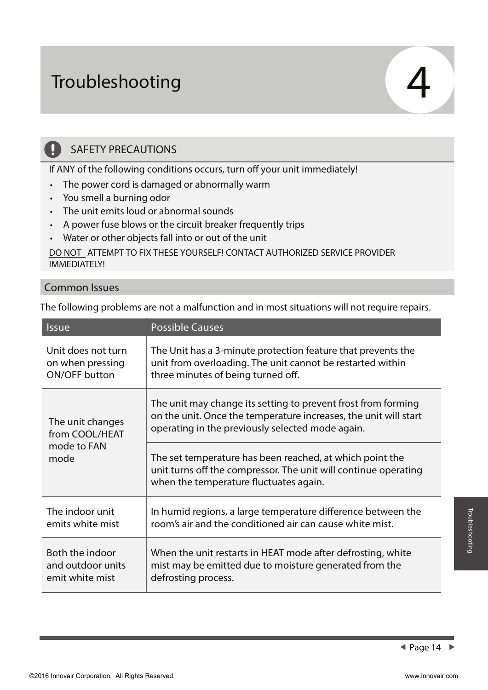# **Troubleshooting**

### **SAFETY PRECAUTIONS**

If ANY of the following conditions occurs, turn off your unit immediately!

- The power cord is damaged or abnormally warm
- You smell a burning odor
- The unit emits loud or abnormal sounds
- A power fuse blows or the circuit breaker frequently trips
- Water or other objects fall into or out of the unit

**DO NOT ATTEMPT TO FIX THESE YOURSELF! CONTACT AUTHORIZED SERVICE PROVIDER IMMEDIATELY!**

#### **Common Issues**

 $\mathbf{I}$ 

The following problems are not a malfunction and in most situations will not require repairs.

| <i><u><b>Issue</b></u></i>                                | <b>Possible Causes</b>                                                                                                                                                                |
|-----------------------------------------------------------|---------------------------------------------------------------------------------------------------------------------------------------------------------------------------------------|
| Unit does not turn                                        | The Unit has a 3-minute protection feature that prevents the                                                                                                                          |
| on when pressing                                          | unit from overloading. The unit cannot be restarted within                                                                                                                            |
| <b>ON/OFF button</b>                                      | three minutes of being turned off.                                                                                                                                                    |
| The unit changes<br>from COOL/HEAT<br>mode to FAN<br>mode | The unit may change its setting to prevent frost from forming<br>on the unit. Once the temperature increases, the unit will start<br>operating in the previously selected mode again. |
|                                                           | The set temperature has been reached, at which point the<br>unit turns off the compressor. The unit will continue operating<br>when the temperature fluctuates again.                 |
| The indoor unit                                           | In humid regions, a large temperature difference between the                                                                                                                          |
| emits white mist                                          | room's air and the conditioned air can cause white mist.                                                                                                                              |
| Both the indoor                                           | When the unit restarts in HEAT mode after defrosting, white                                                                                                                           |
| and outdoor units                                         | mist may be emitted due to moisture generated from the                                                                                                                                |
| emit white mist                                           | defrosting process.                                                                                                                                                                   |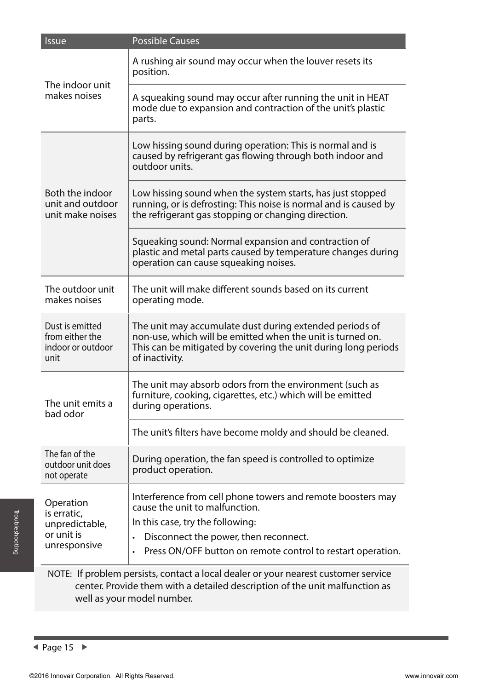| <b>Issue</b>                                                    | <b>Possible Causes</b>                                                                                                                                                                                    |
|-----------------------------------------------------------------|-----------------------------------------------------------------------------------------------------------------------------------------------------------------------------------------------------------|
| The indoor unit<br>makes noises                                 | A rushing air sound may occur when the louver resets its<br>position.                                                                                                                                     |
|                                                                 | A squeaking sound may occur after running the unit in HEAT<br>mode due to expansion and contraction of the unit's plastic<br>parts.                                                                       |
|                                                                 | Low hissing sound during operation: This is normal and is<br>caused by refrigerant gas flowing through both indoor and<br>outdoor units.                                                                  |
| Both the indoor<br>unit and outdoor<br>unit make noises         | Low hissing sound when the system starts, has just stopped<br>running, or is defrosting: This noise is normal and is caused by<br>the refrigerant gas stopping or changing direction.                     |
|                                                                 | Squeaking sound: Normal expansion and contraction of<br>plastic and metal parts caused by temperature changes during<br>operation can cause squeaking noises.                                             |
| The outdoor unit<br>makes noises                                | The unit will make different sounds based on its current<br>operating mode.                                                                                                                               |
| Dust is emitted<br>from either the<br>indoor or outdoor<br>unit | The unit may accumulate dust during extended periods of<br>non-use, which will be emitted when the unit is turned on.<br>This can be mitigated by covering the unit during long periods<br>of inactivity. |
| The unit emits a<br>bad odor                                    | The unit may absorb odors from the environment (such as<br>furniture, cooking, cigarettes, etc.) which will be emitted<br>during operations.                                                              |
|                                                                 | The unit's filters have become moldy and should be cleaned.                                                                                                                                               |
| The fan of the<br>outdoor unit does<br>not operate              | During operation, the fan speed is controlled to optimize<br>product operation.                                                                                                                           |
| Operation<br>is erratic,                                        | Interference from cell phone towers and remote boosters may<br>cause the unit to malfunction.                                                                                                             |
| unpredictable,<br>or unit is                                    | In this case, try the following:                                                                                                                                                                          |
| unresponsive                                                    | Disconnect the power, then reconnect.<br>$\bullet$                                                                                                                                                        |
|                                                                 | Press ON/OFF button on remote control to restart operation.<br>$\bullet$                                                                                                                                  |
|                                                                 | NOTE: If problem persists, contact a local dealer or your nearest customer service                                                                                                                        |

## center. Provide them with a detailed description of the unit malfunction as well as your model number.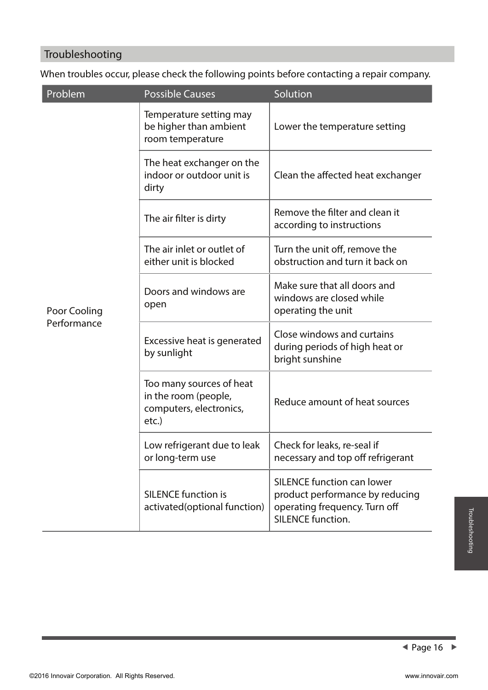### **Troubleshooting**

When troubles occur, please check the following points before contacting a repair company.

| Problem                     | <b>Possible Causes</b>                                                               | Solution                                                                                                                          |
|-----------------------------|--------------------------------------------------------------------------------------|-----------------------------------------------------------------------------------------------------------------------------------|
| Poor Cooling<br>Performance | Temperature setting may<br>be higher than ambient<br>room temperature                | Lower the temperature setting                                                                                                     |
|                             | The heat exchanger on the<br>indoor or outdoor unit is<br>dirty                      | Clean the affected heat exchanger                                                                                                 |
|                             | The air filter is dirty                                                              | Remove the filter and clean it<br>according to instructions                                                                       |
|                             | The air inlet or outlet of<br>either unit is blocked                                 | Turn the unit off, remove the<br>obstruction and turn it back on                                                                  |
|                             | Doors and windows are<br>open                                                        | Make sure that all doors and<br>windows are closed while<br>operating the unit                                                    |
|                             | Excessive heat is generated<br>by sunlight                                           | Close windows and curtains<br>during periods of high heat or<br>bright sunshine                                                   |
|                             | Too many sources of heat<br>in the room (people,<br>computers, electronics,<br>etc.) | Reduce amount of heat sources                                                                                                     |
|                             | Low refrigerant due to leak<br>or long-term use                                      | Check for leaks, re-seal if<br>necessary and top off refrigerant                                                                  |
|                             | <b>SILENCE function is</b><br>activated(optional function)                           | <b>SILENCE function can lower</b><br>product performance by reducing<br>operating frequency. Turn off<br><b>SILENCE function.</b> |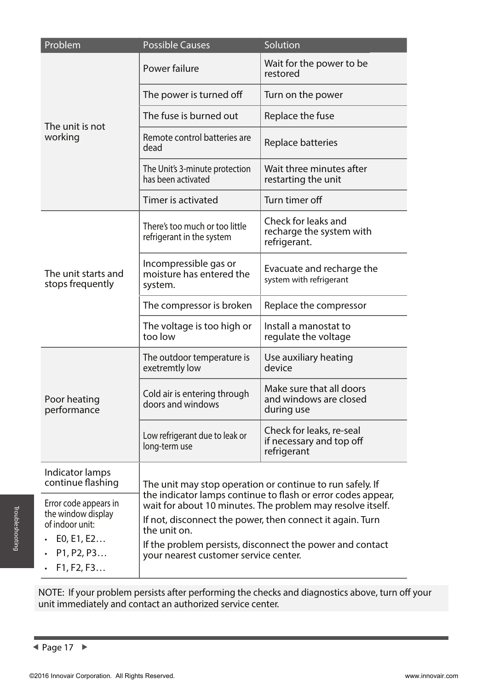| Problem                                 | <b>Possible Causes</b>                                                                                                                                                                  | Solution                                                            |  |
|-----------------------------------------|-----------------------------------------------------------------------------------------------------------------------------------------------------------------------------------------|---------------------------------------------------------------------|--|
| The unit is not<br>working              | Power failure                                                                                                                                                                           | Wait for the power to be<br>restored                                |  |
|                                         | The power is turned off                                                                                                                                                                 | Turn on the power                                                   |  |
|                                         | The fuse is burned out                                                                                                                                                                  | Replace the fuse                                                    |  |
|                                         | Remote control batteries are<br>dead                                                                                                                                                    | Replace batteries                                                   |  |
|                                         | The Unit's 3-minute protection<br>has been activated                                                                                                                                    | Wait three minutes after<br>restarting the unit                     |  |
|                                         | Timer is activated                                                                                                                                                                      | Turn timer off                                                      |  |
| The unit starts and<br>stops frequently | There's too much or too little<br>refrigerant in the system                                                                                                                             | Check for leaks and<br>recharge the system with<br>refrigerant.     |  |
|                                         | Incompressible gas or<br>moisture has entered the<br>system.                                                                                                                            | Evacuate and recharge the<br>system with refrigerant                |  |
|                                         | The compressor is broken                                                                                                                                                                | Replace the compressor                                              |  |
|                                         | The voltage is too high or<br>too low                                                                                                                                                   | Install a manostat to<br>regulate the voltage                       |  |
| Poor heating<br>performance             | The outdoor temperature is<br>exetremtly low                                                                                                                                            | Use auxiliary heating<br>device                                     |  |
|                                         | Cold air is entering through<br>doors and windows                                                                                                                                       | Make sure that all doors<br>and windows are closed<br>during use    |  |
|                                         | Low refrigerant due to leak or<br>long-term use                                                                                                                                         | Check for leaks, re-seal<br>if necessary and top off<br>refrigerant |  |
| Indicator lamps<br>continue flashing    | The unit may stop operation or continue to run safely. If<br>the indicator lamps continue to flash or error codes appear,<br>wait for about 10 minutes. The problem may resolve itself. |                                                                     |  |
| Error code appears in                   |                                                                                                                                                                                         |                                                                     |  |
| of indoor unit:                         | If not, disconnect the power, then connect it again. Turn<br>the unit on.                                                                                                               |                                                                     |  |
| P1, P2, P3<br>F1, F2, F3                |                                                                                                                                                                                         |                                                                     |  |
| the window display<br>E0, E1, E2        | If the problem persists, disconnect the power and contact<br>your nearest customer service center.                                                                                      |                                                                     |  |

NOTE: If your problem persists after performing the checks and diagnostics above, turn off your unit immediately and contact an authorized service center.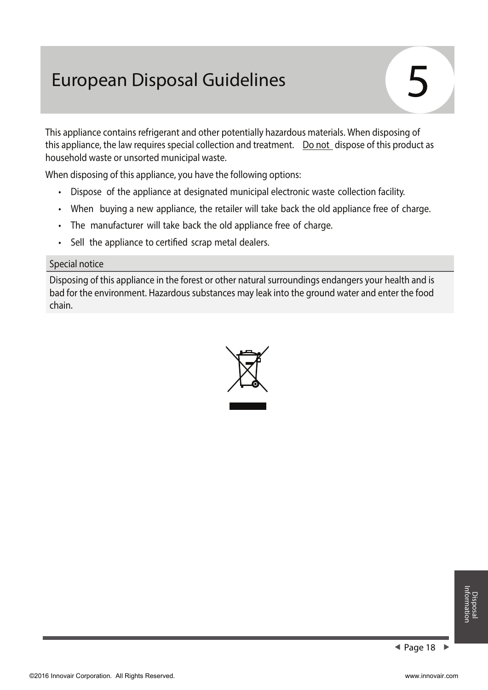## **European Disposal Guidelines**

This appliance contains refrigerant and other potentially hazardous materials. When disposing of this appliance, the law requires special collection and treatment. **Do not** dispose of this product as household waste or unsorted municipal waste.

When disposing of this appliance, you have the following options:

- Dispose of the appliance at designated municipal electronic waste collection facility.
- When buying a new appliance, the retailer will take back the old appliance free of charge.
- The manufacturer will take back the old appliance free of charge.
- Sell the appliance to certified scrap metal dealers.

#### **Special notice**

Disposing of this appliance in the forest or other natural surroundings endangers your health and is bad for the environment. Hazardous substances may leak into the ground water and enter the food chain.